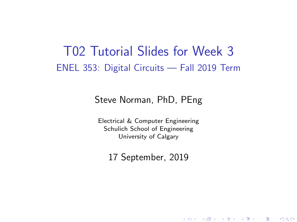### T02 Tutorial Slides for Week 3 ENEL 353: Digital Circuits — Fall 2019 Term

#### Steve Norman, PhD, PEng

Electrical & Computer Engineering Schulich School of Engineering University of Calgary

17 September, 2019

メロメ メ都 メイ君 メイ君 メー

 $\Omega$ 

- 로스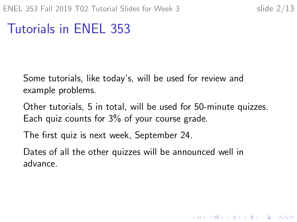# Tutorials in ENEL 353

Some tutorials, like today's, will be used for review and example problems.

Other tutorials, 5 in total, will be used for 50-minute quizzes. Each quiz counts for 3% of your course grade.

The first quiz is next week, September 24.

Dates of all the other quizzes will be announced well in advance.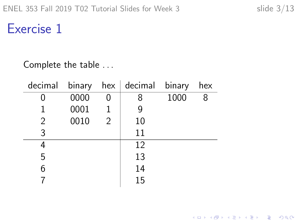**Kロトメ部トメミトメミト ミニのQC** 

### Exercise 1

#### Complete the table . . .

|                |      |   | $\alpha$ decimal binary hex decimal binary |      | hex |
|----------------|------|---|--------------------------------------------|------|-----|
|                | 0000 | N | 8                                          | 1000 | 8   |
| 1              | 0001 | 1 |                                            |      |     |
| $\overline{2}$ | 0010 | 2 | 10                                         |      |     |
| 3              |      |   | 11                                         |      |     |
|                |      |   | 12                                         |      |     |
| 5              |      |   | 13                                         |      |     |
| 6              |      |   | 14                                         |      |     |
|                |      |   | 15                                         |      |     |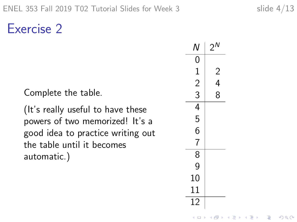Exercise 2

Complete the table.

(It's really useful to have these powers of two memorized! It's a good idea to practice writing out the table until it becomes automatic.)

| Ν              | $2^N$  |  |
|----------------|--------|--|
| $\mathbf{0}$   |        |  |
|                |        |  |
| $\frac{1}{2}$  | 2<br>4 |  |
|                | 8      |  |
|                |        |  |
| $\frac{1}{4}$  |        |  |
| 6              |        |  |
| $\overline{7}$ |        |  |
| $\overline{8}$ |        |  |
| 9              |        |  |
| 10             |        |  |
| 11             |        |  |
| 12             |        |  |

K ロ ▶ K 個 ▶ K 할 ▶ K 할 ▶ 이 할 → 9 Q Q →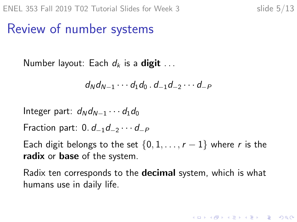# Review of number systems

Number layout: Each  $d_k$  is a **digit** ...

$$
d_N d_{N-1} \cdots d_1 d_0 \cdot d_{-1} d_{-2} \cdots d_{-P}
$$

Integer part:  $d_N d_{N-1} \cdots d_1 d_0$ 

Fraction part:  $0. d_{-1}d_{-2} \cdots d_{-P}$ 

Each digit belongs to the set  $\{0, 1, \ldots, r-1\}$  where r is the radix or base of the system.

Radix ten corresponds to the **decimal** system, which is what humans use in daily life.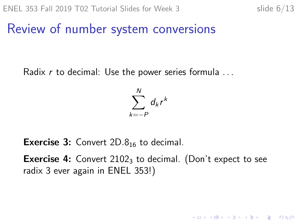#### Review of number system conversions

Radix  $r$  to decimal: Use the power series formula ...



**Exercise 3:** Convert  $2D.8<sub>16</sub>$  to decimal.

**Exercise 4:** Convert  $2102<sub>3</sub>$  to decimal. (Don't expect to see radix 3 ever again in ENEL 353!)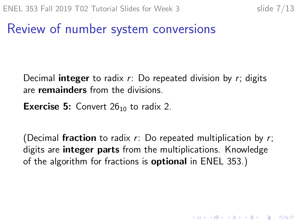KID KA KERKER KID KO

# Review of number system conversions

Decimal **integer** to radix  $r$ : Do repeated division by  $r$ ; digits are remainders from the divisions.

**Exercise 5:** Convert  $26_{10}$  to radix 2.

(Decimal fraction to radix  $r$ : Do repeated multiplication by  $r$ ; digits are **integer parts** from the multiplications. Knowledge of the algorithm for fractions is **optional** in ENEL 353.)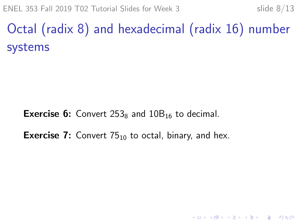ENEL 353 Fall 2019 T02 Tutorial Slides for Week 3 slide  $8/13$ 

Octal (radix 8) and hexadecimal (radix 16) number systems

**Exercise 6:** Convert  $253_8$  and  $10B_{16}$  to decimal.

**Exercise 7:** Convert  $75_{10}$  to octal, binary, and hex.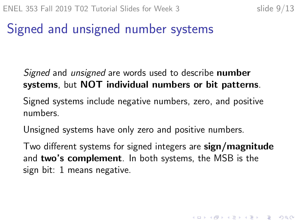KID KA KERKER KID KO

# Signed and unsigned number systems

#### Signed and *unsigned* are words used to describe **number** systems, but NOT individual numbers or bit patterns.

Signed systems include negative numbers, zero, and positive numbers.

Unsigned systems have only zero and positive numbers.

Two different systems for signed integers are sign/magnitude and two's complement. In both systems, the MSB is the sign bit: 1 means negative.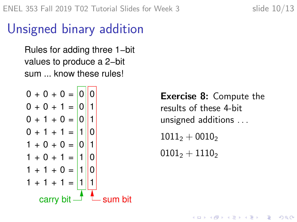# Unsigned binary addition

Rules for adding three 1−bit values to produce a 2−bit sum know these rules!

$$
0 + 0 + 0 = 0
$$
  
\n
$$
0 + 0 + 1 = 0
$$
  
\n
$$
0 + 1 + 0 = 0
$$
  
\n
$$
0 + 1 + 1 = 1
$$
  
\n
$$
1 + 0 + 0 = 0
$$
  
\n
$$
1 + 0 + 1 = 1
$$
  
\n
$$
1 + 1 + 0 = 1
$$
  
\n
$$
1 + 1 + 1 = 1
$$
  
\n
$$
1 + 1 + 1 = 1
$$
  
\n
$$
1 + 1 + 1 = 1
$$
  
\n
$$
1 + 1 + 1 = 1
$$
  
\n
$$
1 + 1 + 1 = 1
$$
  
\n
$$
2 + 1 = 1
$$
  
\n
$$
2 + 1 = 1
$$
  
\n
$$
2 + 1 = 1
$$
  
\n
$$
3 + 1 = 1
$$
  
\n
$$
3 + 1 = 1
$$
  
\n
$$
4 + 1 = 1
$$
  
\n
$$
3 + 1 = 1
$$
  
\n
$$
4 + 1 = 1
$$
  
\n
$$
4 + 1 = 1
$$
  
\n
$$
4 + 1 = 1
$$
  
\n
$$
5 + 1 = 1
$$
  
\n
$$
6 + 1 = 1
$$
  
\n
$$
6 + 1 = 1
$$
  
\n
$$
5 + 1 = 1
$$
  
\n
$$
6 + 1 = 1
$$
  
\n
$$
6 + 1 = 1
$$
  
\n
$$
1 = 1
$$
  
\n
$$
1 = 1
$$
  
\n
$$
2 = 1
$$
  
\n
$$
3 + 1 = 1
$$
  
\n
$$
-1 = 1
$$
  
\n
$$
-1 = 1
$$
  
\n
$$
-1 = 1
$$
  
\n
$$
-1 = 1
$$
  
\n
$$
-1 = 1
$$
  
\n
$$
-1 = 1
$$
  
\n
$$
-1 = 1
$$
  
\n
$$
-1 = 1
$$

Exercise 8: Compute the results of these 4-bit unsigned additions . . .  $1011_2 + 0010_2$ 

 $0101_2 + 1110_2$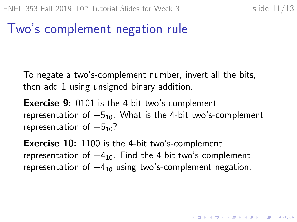KID KA KERKER KID KO

# Two's complement negation rule

To negate a two's-complement number, invert all the bits, then add 1 using unsigned binary addition.

**Exercise 9:** 0101 is the 4-bit two's-complement representation of  $+5_{10}$ . What is the 4-bit two's-complement representation of  $-5<sub>10</sub>$ ?

**Exercise 10:** 1100 is the 4-bit two's-complement representation of  $-4_{10}$ . Find the 4-bit two's-complement representation of  $+4_{10}$  using two's-complement negation.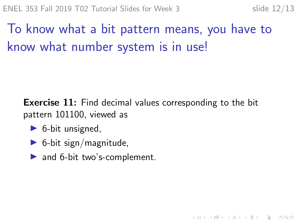# To know what a bit pattern means, you have to know what number system is in use!

**Exercise 11:** Find decimal values corresponding to the bit pattern 101100, viewed as

- $\triangleright$  6-bit unsigned,
- $\triangleright$  6-bit sign/magnitude,
- $\blacktriangleright$  and 6-bit two's-complement.